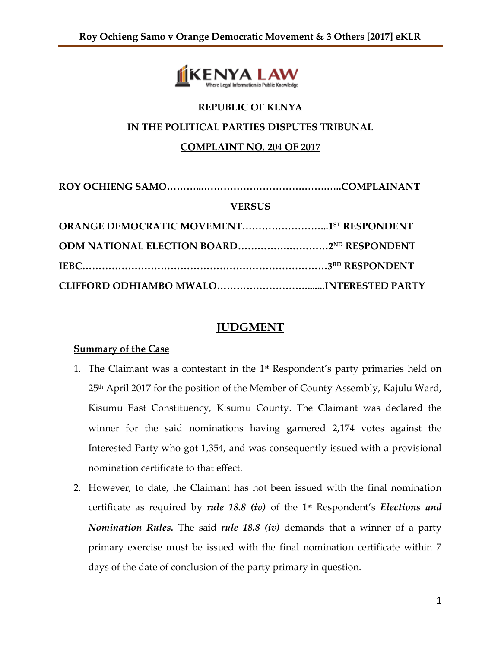

# **REPUBLIC OF KENYA**

## **IN THE POLITICAL PARTIES DISPUTES TRIBUNAL**

# **COMPLAINT NO. 204 OF 2017**

| <b>VERSUS</b> |  |
|---------------|--|
|               |  |
|               |  |
|               |  |
|               |  |

# **JUDGMENT**

## **Summary of the Case**

- 1. The Claimant was a contestant in the  $1<sup>st</sup>$  Respondent's party primaries held on 25th April 2017 for the position of the Member of County Assembly, Kajulu Ward, Kisumu East Constituency, Kisumu County. The Claimant was declared the winner for the said nominations having garnered 2,174 votes against the Interested Party who got 1,354, and was consequently issued with a provisional nomination certificate to that effect.
- 2. However, to date, the Claimant has not been issued with the final nomination certificate as required by *rule 18.8 (iv)* of the 1<sup>st</sup> Respondent's *Elections and Nomination Rules.* The said *rule 18.8 (iv)* demands that a winner of a party primary exercise must be issued with the final nomination certificate within 7 days of the date of conclusion of the party primary in question.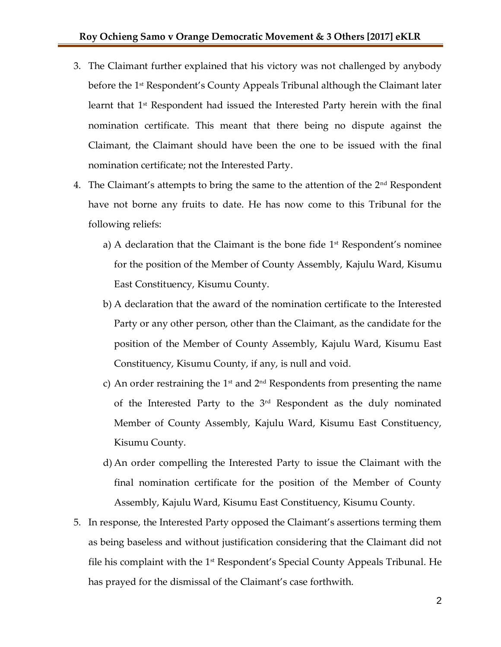- 3. The Claimant further explained that his victory was not challenged by anybody before the 1<sup>st</sup> Respondent's County Appeals Tribunal although the Claimant later learnt that  $1<sup>st</sup>$  Respondent had issued the Interested Party herein with the final nomination certificate. This meant that there being no dispute against the Claimant, the Claimant should have been the one to be issued with the final nomination certificate; not the Interested Party.
- 4. The Claimant's attempts to bring the same to the attention of the  $2<sup>nd</sup>$  Respondent have not borne any fruits to date. He has now come to this Tribunal for the following reliefs:
	- a) A declaration that the Claimant is the bone fide  $1<sup>st</sup>$  Respondent's nominee for the position of the Member of County Assembly, Kajulu Ward, Kisumu East Constituency, Kisumu County.
	- b) A declaration that the award of the nomination certificate to the Interested Party or any other person, other than the Claimant, as the candidate for the position of the Member of County Assembly, Kajulu Ward, Kisumu East Constituency, Kisumu County, if any, is null and void.
	- c) An order restraining the 1<sup>st</sup> and  $2<sup>nd</sup>$  Respondents from presenting the name of the Interested Party to the 3rd Respondent as the duly nominated Member of County Assembly, Kajulu Ward, Kisumu East Constituency, Kisumu County.
	- d) An order compelling the Interested Party to issue the Claimant with the final nomination certificate for the position of the Member of County Assembly, Kajulu Ward, Kisumu East Constituency, Kisumu County.
- 5. In response, the Interested Party opposed the Claimant's assertions terming them as being baseless and without justification considering that the Claimant did not file his complaint with the  $1<sup>st</sup>$  Respondent's Special County Appeals Tribunal. He has prayed for the dismissal of the Claimant's case forthwith.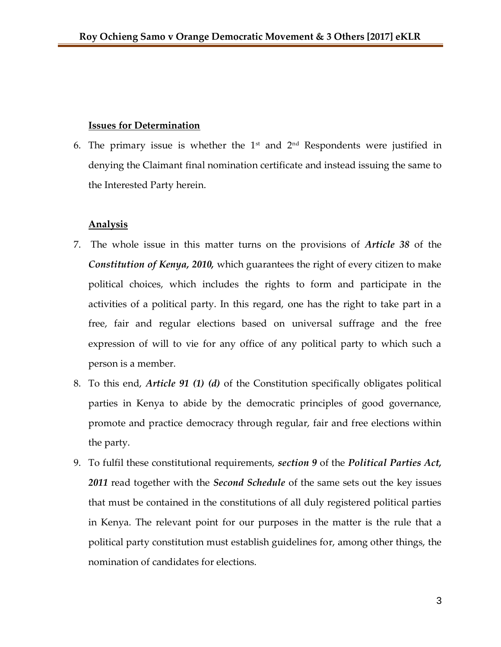#### **Issues for Determination**

6. The primary issue is whether the  $1<sup>st</sup>$  and  $2<sup>nd</sup>$  Respondents were justified in denying the Claimant final nomination certificate and instead issuing the same to the Interested Party herein.

## **Analysis**

- 7. The whole issue in this matter turns on the provisions of *Article 38* of the *Constitution of Kenya, 2010,* which guarantees the right of every citizen to make political choices, which includes the rights to form and participate in the activities of a political party. In this regard, one has the right to take part in a free, fair and regular elections based on universal suffrage and the free expression of will to vie for any office of any political party to which such a person is a member.
- 8. To this end, *Article 91 (1) (d)* of the Constitution specifically obligates political parties in Kenya to abide by the democratic principles of good governance, promote and practice democracy through regular, fair and free elections within the party.
- 9. To fulfil these constitutional requirements, *section 9* of the *Political Parties Act, 2011* read together with the *Second Schedule* of the same sets out the key issues that must be contained in the constitutions of all duly registered political parties in Kenya. The relevant point for our purposes in the matter is the rule that a political party constitution must establish guidelines for, among other things, the nomination of candidates for elections.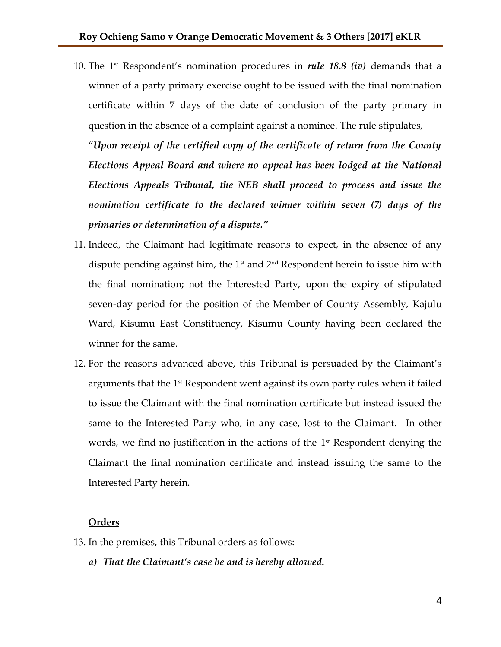10. The 1 st Respondent's nomination procedures in *rule 18.8 (iv)* demands that a winner of a party primary exercise ought to be issued with the final nomination certificate within 7 days of the date of conclusion of the party primary in question in the absence of a complaint against a nominee. The rule stipulates,

"*Upon receipt of the certified copy of the certificate of return from the County Elections Appeal Board and where no appeal has been lodged at the National Elections Appeals Tribunal, the NEB shall proceed to process and issue the nomination certificate to the declared winner within seven (7) days of the primaries or determination of a dispute."*

- 11. Indeed, the Claimant had legitimate reasons to expect, in the absence of any dispute pending against him, the 1<sup>st</sup> and 2<sup>nd</sup> Respondent herein to issue him with the final nomination; not the Interested Party, upon the expiry of stipulated seven-day period for the position of the Member of County Assembly, Kajulu Ward, Kisumu East Constituency, Kisumu County having been declared the winner for the same.
- 12. For the reasons advanced above, this Tribunal is persuaded by the Claimant's arguments that the  $1^{\text{st}}$  Respondent went against its own party rules when it failed to issue the Claimant with the final nomination certificate but instead issued the same to the Interested Party who, in any case, lost to the Claimant. In other words, we find no justification in the actions of the 1<sup>st</sup> Respondent denying the Claimant the final nomination certificate and instead issuing the same to the Interested Party herein.

## **Orders**

- 13. In the premises, this Tribunal orders as follows:
	- *a) That the Claimant's case be and is hereby allowed.*